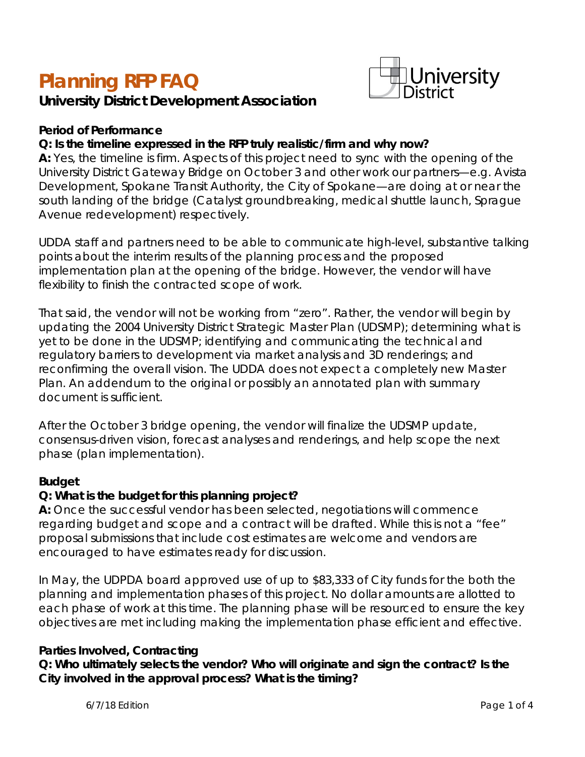# **Planning RFP FAQ**

# **University District Development Association**



#### *Period of Performance*

#### **Q: Is the timeline expressed in the RFP truly realistic/firm and why now?**

**A:** Yes, the timeline is firm. Aspects of this project need to sync with the opening of the University District Gateway Bridge on October 3 and other work our partners—e.g. Avista Development, Spokane Transit Authority, the City of Spokane—are doing at or near the south landing of the bridge (Catalyst groundbreaking, medical shuttle launch, Sprague Avenue redevelopment) respectively.

UDDA staff and partners need to be able to communicate high-level, substantive talking points about the interim results of the planning process and the proposed implementation plan at the opening of the bridge. However, the vendor will have flexibility to finish the contracted scope of work.

That said, the vendor will not be working from "zero". Rather, the vendor will begin by updating the 2004 University District Strategic Master Plan (UDSMP); determining what is yet to be done in the UDSMP; identifying and communicating the technical and regulatory barriers to development via market analysis and 3D renderings; and reconfirming the overall vision. The UDDA does not expect a completely new Master Plan. An addendum to the original or possibly an annotated plan with summary document is sufficient.

After the October 3 bridge opening, the vendor will finalize the UDSMP update, consensus-driven vision, forecast analyses and renderings, and help scope the next phase (plan implementation).

#### *Budget*

# **Q: What is the budget for this planning project?**

**A:** Once the successful vendor has been selected, negotiations will commence regarding budget and scope and a contract will be drafted. While this is not a "fee" proposal submissions that include cost estimates are welcome and vendors are encouraged to have estimates ready for discussion.

In May, the UDPDA board approved use of up to \$83,333 of City funds for the *both* the planning and implementation phases of this project. No dollar amounts are allotted to each phase of work at this time. The planning phase will be resourced to ensure the key objectives are met including making the implementation phase efficient and effective.

#### *Parties Involved, Contracting*

**Q: Who ultimately selects the vendor? Who will originate and sign the contract? Is the City involved in the approval process? What is the timing?**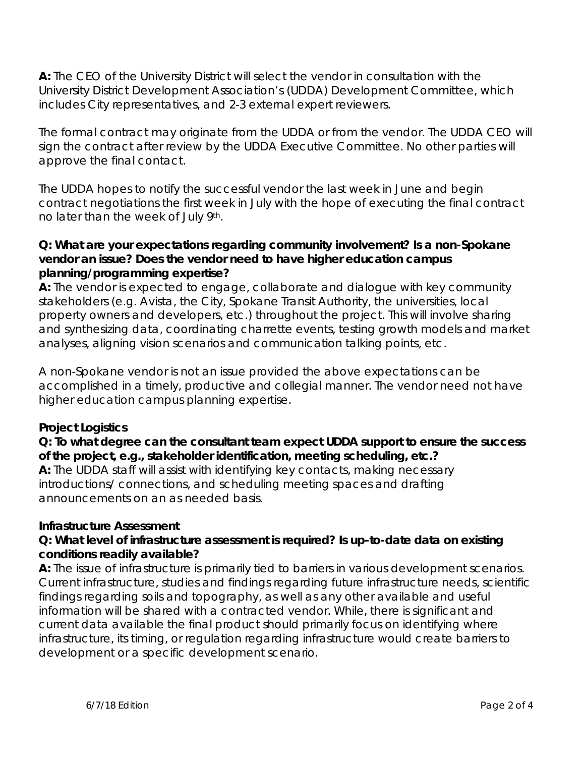**A:** The CEO of the University District will select the vendor in consultation with the University District Development Association's (UDDA) Development Committee, which includes City representatives, and 2-3 external expert reviewers.

The formal contract may originate from the UDDA or from the vendor. The UDDA CEO will sign the contract after review by the UDDA Executive Committee. No other parties will approve the final contact.

The UDDA hopes to notify the successful vendor the last week in June and begin contract negotiations the first week in July with the hope of executing the final contract no later than the week of July 9th.

#### **Q: What are your expectations regarding community involvement? Is a non-Spokane vendor an issue? Does the vendor need to have higher education campus planning/programming expertise?**

**A:** The vendor is expected to engage, collaborate and dialogue with key community stakeholders (e.g. Avista, the City, Spokane Transit Authority, the universities, local property owners and developers, etc.) throughout the project. This will involve sharing and synthesizing data, coordinating charrette events, testing growth models and market analyses, aligning vision scenarios and communication talking points, etc.

A non-Spokane vendor is not an issue provided the above expectations can be accomplished in a timely, productive and collegial manner. The vendor need not have higher education campus planning expertise.

# *Project Logistics*

# **Q: To what degree can the consultant team expect UDDA support to ensure the success of the project, e.g., stakeholder identification, meeting scheduling, etc.?**

**A:** The UDDA staff will assist with identifying key contacts, making necessary introductions/ connections, and scheduling meeting spaces and drafting announcements on an as needed basis.

# *Infrastructure Assessment*

# **Q: What level of infrastructure assessment is required? Is up-to-date data on existing conditions readily available?**

**A:** The issue of infrastructure is primarily tied to barriers in various development scenarios. Current infrastructure, studies and findings regarding future infrastructure needs, scientific findings regarding soils and topography, as well as any other available and useful information will be shared with a contracted vendor. While, there is significant and current data available the final product should primarily focus on identifying where infrastructure, its timing, or regulation regarding infrastructure would create barriers to development or a specific development scenario.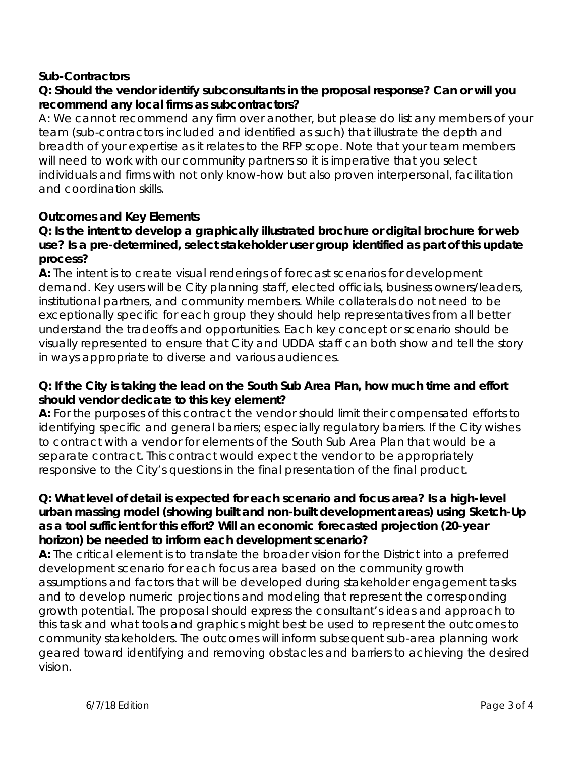#### *Sub-Contractors*

# **Q: Should the vendor identify subconsultants in the proposal response? Can or will you recommend any local firms as subcontractors?**

A: We cannot recommend any firm over another, but please do list any members of your team (sub-contractors included and identified as such) that illustrate the depth and breadth of your expertise as it relates to the RFP scope. Note that your team members will need to work with our community partners so it is imperative that you select individuals and firms with not only know-how but also proven interpersonal, facilitation and coordination skills.

#### *Outcomes and Key Elements*

#### **Q: Is the intent to develop a graphically illustrated brochure or digital brochure for web use? Is a pre-determined, select stakeholder user group identified as part of this update process?**

**A:** The intent is to create visual renderings of forecast scenarios for development demand. Key users will be City planning staff, elected officials, business owners/leaders, institutional partners, and community members. While collaterals do not need to be exceptionally specific for each group they should help representatives from all better understand the tradeoffs and opportunities. Each key concept or scenario should be visually represented to ensure that City and UDDA staff can both show and tell the story in ways appropriate to diverse and various audiences.

#### **Q: If the City is taking the lead on the South Sub Area Plan, how much time and effort should vendor dedicate to this key element?**

**A:** For the purposes of this contract the vendor should limit their compensated efforts to identifying specific and general barriers; especially regulatory barriers. If the City wishes to contract with a vendor for elements of the South Sub Area Plan that would be a separate contract. This contract would expect the vendor to be appropriately responsive to the City's questions in the final presentation of the final product.

#### **Q: What level of detail is expected for each scenario and focus area? Is a high-level urban massing model (showing built and non-built development areas) using Sketch-Up as a tool sufficient for this effort? Will an economic forecasted projection (20-year horizon) be needed to inform each development scenario?**

**A:** The critical element is to translate the broader vision for the District into a preferred development scenario for each focus area based on the community growth assumptions and factors that will be developed during stakeholder engagement tasks and to develop numeric projections and modeling that represent the corresponding growth potential. The proposal should express the consultant's ideas and approach to this task and what tools and graphics might best be used to represent the outcomes to community stakeholders. The outcomes will inform subsequent sub-area planning work geared toward identifying and removing obstacles and barriers to achieving the desired vision.